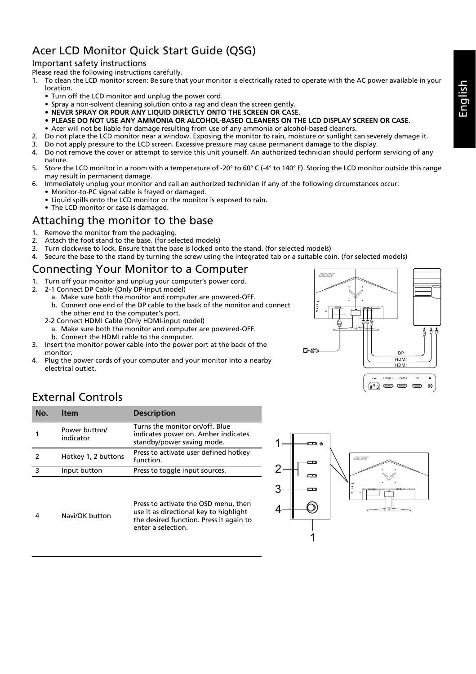# Acer LCD Monitor Quick Start Guide (QSG)

#### Important safety instructions

Please read the following instructions carefully.

- 1. To clean the LCD monitor screen: Be sure that your monitor is electrically rated to operate with the AC power available in your location.
	- Turn off the LCD monitor and unplug the power cord.
	- Spray a non-solvent cleaning solution onto a rag and clean the screen gently.
	- NEVER SPRAY OR POUR ANY LIQUID DIRECTLY ONTO THE SCREEN OR CASE.
	- PLEASE DO NOT USE ANY AMMONIA OR ALCOHOL-BASED CLEANERS ON THE LCD DISPLAY SCREEN OR CASE.
	- Acer will not be liable for damage resulting from use of any ammonia or alcohol-based cleaners.
- 2. Do not place the LCD monitor near a window. Exposing the monitor to rain, moisture or sunlight can severely damage it.
- 3. Do not apply pressure to the LCD screen. Excessive pressure may cause permanent damage to the display.
- 4. Do not remove the cover or attempt to service this unit yourself. An authorized technician should perform servicing of any nature.
- 5. Store the LCD monitor in a room with a temperature of -20° to 60° C (-4° to 140° F). Storing the LCD monitor outside this range may result in permanent damage.
- 6. Immediately unplug your monitor and call an authorized technician if any of the following circumstances occur:
	- Monitor-to-PC signal cable is frayed or damaged.
	- Liquid spills onto the LCD monitor or the monitor is exposed to rain.
	- The LCD monitor or case is damaged.

## Attaching the monitor to the base

- 1. Remove the monitor from the packaging.
- 2. Attach the foot stand to the base. (for selected models)
- 3. Turn clockwise to lock. Ensure that the base is locked onto the stand. (for selected models)
- 4. Secure the base to the stand by turning the screw using the integrated tab or a suitable coin. (for selected models)

# Connecting Your Monitor to a Computer

- 1. Turn off your monitor and unplug your computer's power cord.
- 2. 2-1 Connect DP Cable (Only DP-input model)
	- a. Make sure both the monitor and computer are powered-OFF. b. Connect one end of the DP cable to the back of the monitor and connect the other end to the computer's port.
	- 2-2 Connect HDMI Cable (Only HDMI-input model)
	- a. Make sure both the monitor and computer are powered-OFF. b. Connect the HDMI cable to the computer.
- 3. Insert the monitor power cable into the power port at the back of the monitor.
- 4. Plug the power cords of your computer and your monitor into a nearby electrical outlet.



# External Controls

4 Navi/OK button

| No. | <b>Item</b>                | <b>Description</b>                                                                                  |
|-----|----------------------------|-----------------------------------------------------------------------------------------------------|
|     | Power button/<br>indicator | Turns the monitor on/off. Blue<br>indicates power on. Amber indicates<br>standby/power saving mode. |
|     | Hotkey 1, 2 buttons        | Press to activate user defined hotkey<br>function.                                                  |
|     | Input button               | Press to toggle input sources.                                                                      |

Press to activate the OSD menu, then use it as directional key to highlight the desired function. Press it again to enter a selection.